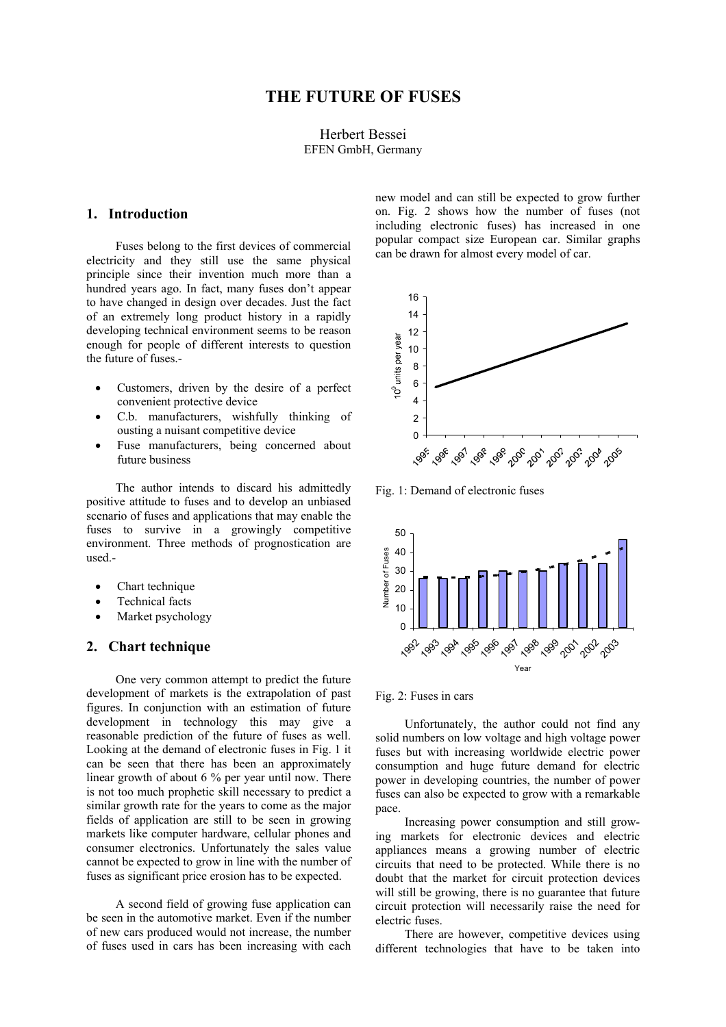## Herbert Bessei EFEN GmbH, Germany

## **1. Introduction**

Fuses belong to the first devices of commercial electricity and they still use the same physical principle since their invention much more than a hundred years ago. In fact, many fuses don't appear to have changed in design over decades. Just the fact of an extremely long product history in a rapidly developing technical environment seems to be reason enough for people of different interests to question the future of fuses.-

- Customers, driven by the desire of a perfect convenient protective device
- C.b. manufacturers, wishfully thinking of ousting a nuisant competitive device
- Fuse manufacturers, being concerned about future business

The author intends to discard his admittedly positive attitude to fuses and to develop an unbiased scenario of fuses and applications that may enable the fuses to survive in a growingly competitive environment. Three methods of prognostication are used.-

- Chart technique
- Technical facts
- Market psychology

## **2. Chart technique**

One very common attempt to predict the future development of markets is the extrapolation of past figures. In conjunction with an estimation of future development in technology this may give a reasonable prediction of the future of fuses as well. Looking at the demand of electronic fuses in Fig. 1 it can be seen that there has been an approximately linear growth of about 6 % per year until now. There is not too much prophetic skill necessary to predict a similar growth rate for the years to come as the major fields of application are still to be seen in growing markets like computer hardware, cellular phones and consumer electronics. Unfortunately the sales value cannot be expected to grow in line with the number of fuses as significant price erosion has to be expected.

A second field of growing fuse application can be seen in the automotive market. Even if the number of new cars produced would not increase, the number of fuses used in cars has been increasing with each

new model and can still be expected to grow further on. Fig. 2 shows how the number of fuses (not including electronic fuses) has increased in one popular compact size European car. Similar graphs can be drawn for almost every model of car.



Fig. 1: Demand of electronic fuses



Fig. 2: Fuses in cars

Unfortunately, the author could not find any solid numbers on low voltage and high voltage power fuses but with increasing worldwide electric power consumption and huge future demand for electric power in developing countries, the number of power fuses can also be expected to grow with a remarkable pace.

Increasing power consumption and still growing markets for electronic devices and electric appliances means a growing number of electric circuits that need to be protected. While there is no doubt that the market for circuit protection devices will still be growing, there is no guarantee that future circuit protection will necessarily raise the need for electric fuses.

There are however, competitive devices using different technologies that have to be taken into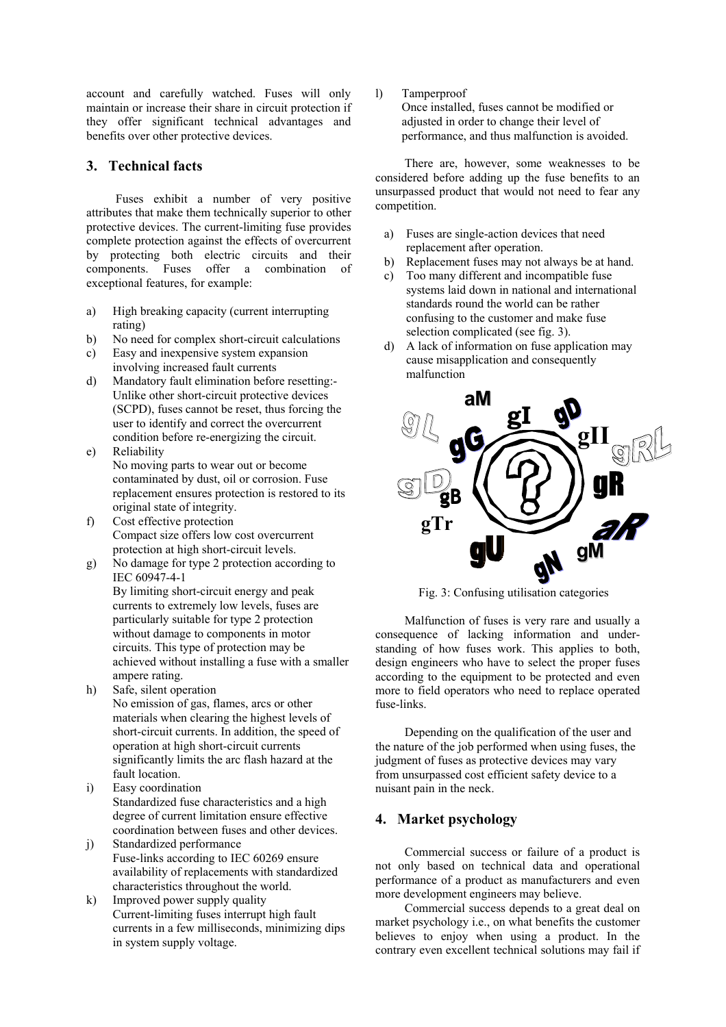account and carefully watched. Fuses will only maintain or increase their share in circuit protection if they offer significant technical advantages and benefits over other protective devices.

## **3. Technical facts**

Fuses exhibit a number of very positive attributes that make them technically superior to other protective devices. The current-limiting fuse provides complete protection against the effects of overcurrent by protecting both electric circuits and their components. Fuses offer a combination of exceptional features, for example:

- a) High breaking capacity (current interrupting rating)
- b) No need for complex short-circuit calculations
- c) Easy and inexpensive system expansion involving increased fault currents
- d) Mandatory fault elimination before resetting:- Unlike other short-circuit protective devices (SCPD), fuses cannot be reset, thus forcing the user to identify and correct the overcurrent condition before re-energizing the circuit.
- e) Reliability No moving parts to wear out or become contaminated by dust, oil or corrosion. Fuse replacement ensures protection is restored to its original state of integrity.
- f) Cost effective protection Compact size offers low cost overcurrent protection at high short-circuit levels.
- g) No damage for type 2 protection according to IEC 60947-4-1

By limiting short-circuit energy and peak currents to extremely low levels, fuses are particularly suitable for type 2 protection without damage to components in motor circuits. This type of protection may be achieved without installing a fuse with a smaller ampere rating.

- h) Safe, silent operation No emission of gas, flames, arcs or other materials when clearing the highest levels of short-circuit currents. In addition, the speed of operation at high short-circuit currents significantly limits the arc flash hazard at the fault location.
- i) Easy coordination Standardized fuse characteristics and a high degree of current limitation ensure effective coordination between fuses and other devices.
- j) Standardized performance Fuse-links according to IEC 60269 ensure availability of replacements with standardized characteristics throughout the world.
- k) Improved power supply quality Current-limiting fuses interrupt high fault currents in a few milliseconds, minimizing dips in system supply voltage.

l) Tamperproof

Once installed, fuses cannot be modified or adjusted in order to change their level of performance, and thus malfunction is avoided.

There are, however, some weaknesses to be considered before adding up the fuse benefits to an unsurpassed product that would not need to fear any competition.

- a) Fuses are single-action devices that need replacement after operation.
- b) Replacement fuses may not always be at hand.
- c) Too many different and incompatible fuse systems laid down in national and international standards round the world can be rather confusing to the customer and make fuse selection complicated (see fig. 3).
- d) A lack of information on fuse application may cause misapplication and consequently malfunction



Fig. 3: Confusing utilisation categories

Malfunction of fuses is very rare and usually a consequence of lacking information and understanding of how fuses work. This applies to both, design engineers who have to select the proper fuses according to the equipment to be protected and even more to field operators who need to replace operated fuse-links.

Depending on the qualification of the user and the nature of the job performed when using fuses, the judgment of fuses as protective devices may vary from unsurpassed cost efficient safety device to a nuisant pain in the neck.

# **4. Market psychology**

Commercial success or failure of a product is not only based on technical data and operational performance of a product as manufacturers and even more development engineers may believe.

Commercial success depends to a great deal on market psychology i.e., on what benefits the customer believes to enjoy when using a product. In the contrary even excellent technical solutions may fail if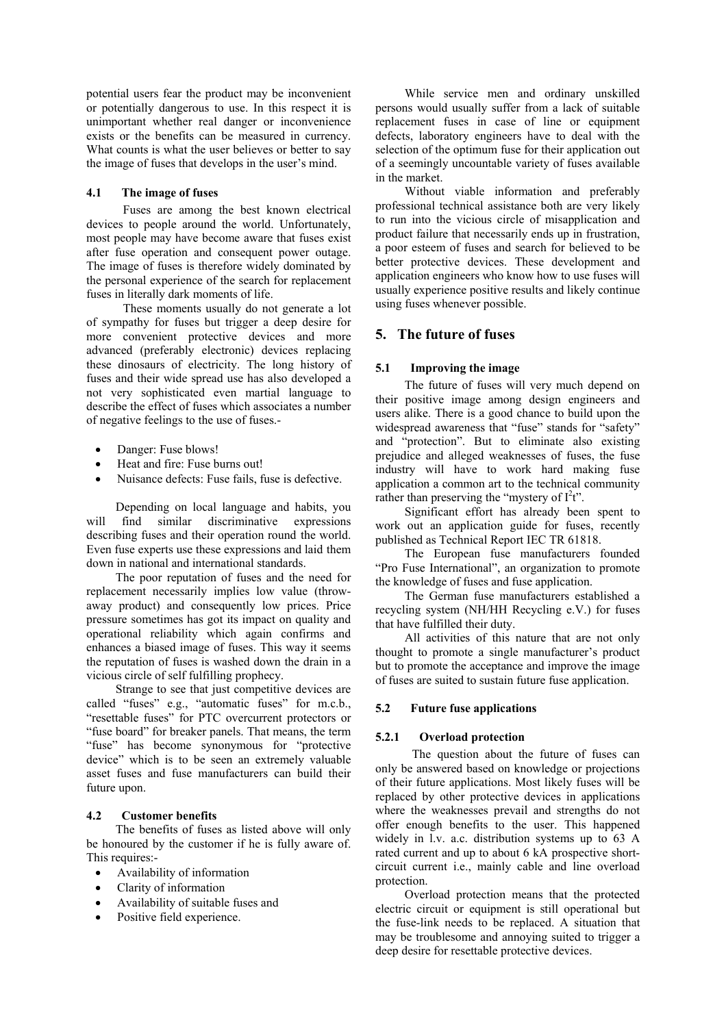potential users fear the product may be inconvenient or potentially dangerous to use. In this respect it is unimportant whether real danger or inconvenience exists or the benefits can be measured in currency. What counts is what the user believes or better to say the image of fuses that develops in the user's mind.

### **4.1 The image of fuses**

Fuses are among the best known electrical devices to people around the world. Unfortunately, most people may have become aware that fuses exist after fuse operation and consequent power outage. The image of fuses is therefore widely dominated by the personal experience of the search for replacement fuses in literally dark moments of life.

These moments usually do not generate a lot of sympathy for fuses but trigger a deep desire for more convenient protective devices and more advanced (preferably electronic) devices replacing these dinosaurs of electricity. The long history of fuses and their wide spread use has also developed a not very sophisticated even martial language to describe the effect of fuses which associates a number of negative feelings to the use of fuses.-

- Danger: Fuse blows!
- Heat and fire: Fuse burns out!
- Nuisance defects: Fuse fails, fuse is defective.

Depending on local language and habits, you will find similar discriminative expressions describing fuses and their operation round the world. Even fuse experts use these expressions and laid them down in national and international standards.

The poor reputation of fuses and the need for replacement necessarily implies low value (throwaway product) and consequently low prices. Price pressure sometimes has got its impact on quality and operational reliability which again confirms and enhances a biased image of fuses. This way it seems the reputation of fuses is washed down the drain in a vicious circle of self fulfilling prophecy.

Strange to see that just competitive devices are called "fuses" e.g., "automatic fuses" for m.c.b., "resettable fuses" for PTC overcurrent protectors or "fuse board" for breaker panels. That means, the term "fuse" has become synonymous for "protective device" which is to be seen an extremely valuable asset fuses and fuse manufacturers can build their future upon.

#### **4.2 Customer benefits**

The benefits of fuses as listed above will only be honoured by the customer if he is fully aware of. This requires:-

- Availability of information
- Clarity of information
- Availability of suitable fuses and
- Positive field experience.

While service men and ordinary unskilled persons would usually suffer from a lack of suitable replacement fuses in case of line or equipment defects, laboratory engineers have to deal with the selection of the optimum fuse for their application out of a seemingly uncountable variety of fuses available in the market.

Without viable information and preferably professional technical assistance both are very likely to run into the vicious circle of misapplication and product failure that necessarily ends up in frustration, a poor esteem of fuses and search for believed to be better protective devices. These development and application engineers who know how to use fuses will usually experience positive results and likely continue using fuses whenever possible.

## **5. The future of fuses**

### **5.1 Improving the image**

The future of fuses will very much depend on their positive image among design engineers and users alike. There is a good chance to build upon the widespread awareness that "fuse" stands for "safety" and "protection". But to eliminate also existing prejudice and alleged weaknesses of fuses, the fuse industry will have to work hard making fuse application a common art to the technical community rather than preserving the "mystery of  $I^2t$ ".

Significant effort has already been spent to work out an application guide for fuses, recently published as Technical Report IEC TR 61818.

The European fuse manufacturers founded "Pro Fuse International", an organization to promote the knowledge of fuses and fuse application.

The German fuse manufacturers established a recycling system (NH/HH Recycling e.V.) for fuses that have fulfilled their duty.

All activities of this nature that are not only thought to promote a single manufacturer's product but to promote the acceptance and improve the image of fuses are suited to sustain future fuse application.

#### **5.2 Future fuse applications**

#### **5.2.1 Overload protection**

The question about the future of fuses can only be answered based on knowledge or projections of their future applications. Most likely fuses will be replaced by other protective devices in applications where the weaknesses prevail and strengths do not offer enough benefits to the user. This happened widely in l.v. a.c. distribution systems up to 63 A rated current and up to about 6 kA prospective shortcircuit current i.e., mainly cable and line overload protection.

Overload protection means that the protected electric circuit or equipment is still operational but the fuse-link needs to be replaced. A situation that may be troublesome and annoying suited to trigger a deep desire for resettable protective devices.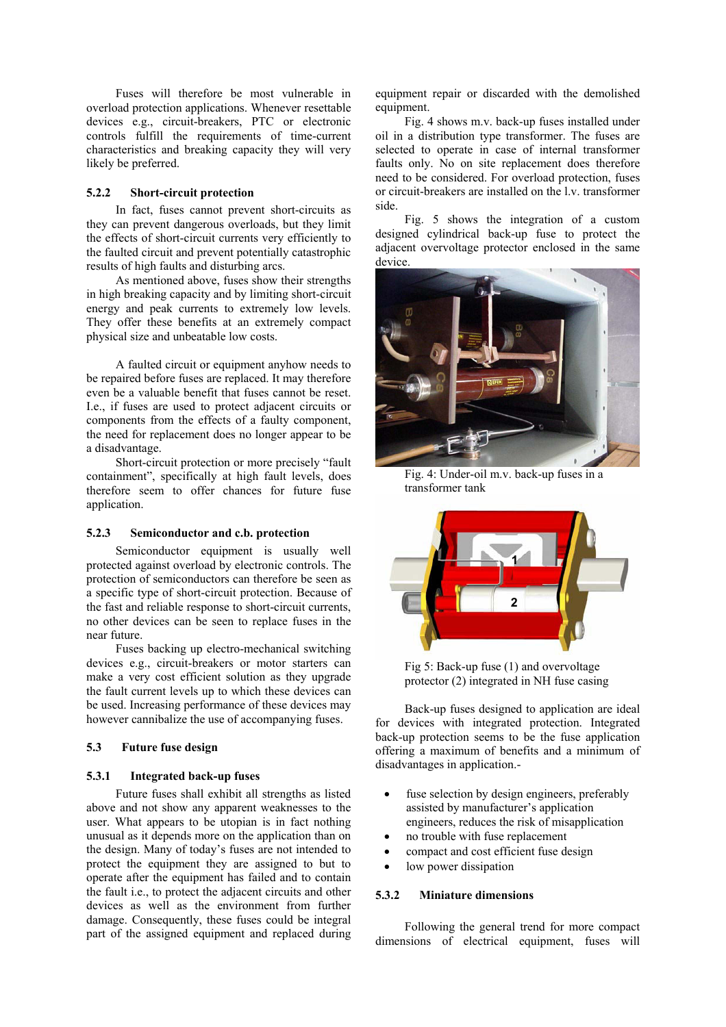Fuses will therefore be most vulnerable in overload protection applications. Whenever resettable devices e.g., circuit-breakers, PTC or electronic controls fulfill the requirements of time-current characteristics and breaking capacity they will very likely be preferred.

## **5.2.2 Short-circuit protection**

In fact, fuses cannot prevent short-circuits as they can prevent dangerous overloads, but they limit the effects of short-circuit currents very efficiently to the faulted circuit and prevent potentially catastrophic results of high faults and disturbing arcs.

As mentioned above, fuses show their strengths in high breaking capacity and by limiting short-circuit energy and peak currents to extremely low levels. They offer these benefits at an extremely compact physical size and unbeatable low costs.

A faulted circuit or equipment anyhow needs to be repaired before fuses are replaced. It may therefore even be a valuable benefit that fuses cannot be reset. I.e., if fuses are used to protect adjacent circuits or components from the effects of a faulty component, the need for replacement does no longer appear to be a disadvantage.

Short-circuit protection or more precisely "fault containment", specifically at high fault levels, does therefore seem to offer chances for future fuse application.

#### **5.2.3 Semiconductor and c.b. protection**

Semiconductor equipment is usually well protected against overload by electronic controls. The protection of semiconductors can therefore be seen as a specific type of short-circuit protection. Because of the fast and reliable response to short-circuit currents, no other devices can be seen to replace fuses in the near future.

Fuses backing up electro-mechanical switching devices e.g., circuit-breakers or motor starters can make a very cost efficient solution as they upgrade the fault current levels up to which these devices can be used. Increasing performance of these devices may however cannibalize the use of accompanying fuses.

### **5.3 Future fuse design**

#### **5.3.1 Integrated back-up fuses**

Future fuses shall exhibit all strengths as listed above and not show any apparent weaknesses to the user. What appears to be utopian is in fact nothing unusual as it depends more on the application than on the design. Many of today's fuses are not intended to protect the equipment they are assigned to but to operate after the equipment has failed and to contain the fault i.e., to protect the adjacent circuits and other devices as well as the environment from further damage. Consequently, these fuses could be integral part of the assigned equipment and replaced during

equipment repair or discarded with the demolished equipment.

Fig. 4 shows m.v. back-up fuses installed under oil in a distribution type transformer. The fuses are selected to operate in case of internal transformer faults only. No on site replacement does therefore need to be considered. For overload protection, fuses or circuit-breakers are installed on the l.v. transformer side.

Fig. 5 shows the integration of a custom designed cylindrical back-up fuse to protect the adjacent overvoltage protector enclosed in the same device.



Fig. 4: Under-oil m.v. back-up fuses in a transformer tank



Fig 5: Back-up fuse (1) and overvoltage protector (2) integrated in NH fuse casing

Back-up fuses designed to application are ideal for devices with integrated protection. Integrated back-up protection seems to be the fuse application offering a maximum of benefits and a minimum of disadvantages in application.-

- fuse selection by design engineers, preferably assisted by manufacturer's application engineers, reduces the risk of misapplication
- no trouble with fuse replacement
- compact and cost efficient fuse design
- low power dissipation

#### **5.3.2 Miniature dimensions**

Following the general trend for more compact dimensions of electrical equipment, fuses will